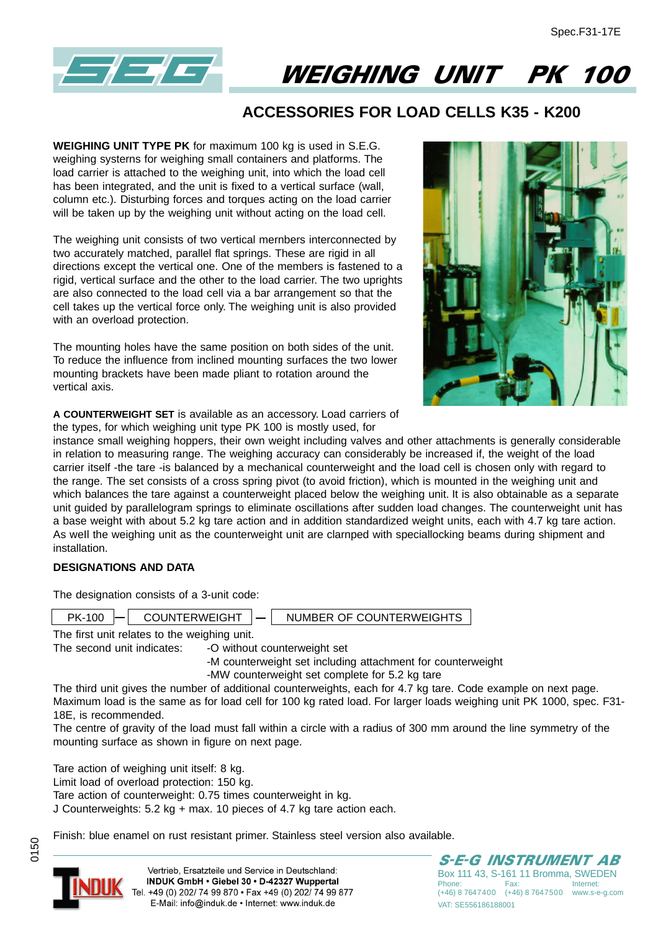

# WEIGHING UNIT PK 100

## **ACCESSORIES FOR LOAD CELLS K35 - K200**

**WEIGHING UNIT TYPE PK** for maximum 100 kg is used in S.E.G. weighing systerns for weighing small containers and platforms. The load carrier is attached to the weighing unit, into which the load cell has been integrated, and the unit is fixed to a vertical surface (wall, column etc.). Disturbing forces and torques acting on the load carrier will be taken up by the weighing unit without acting on the load cell.

The weighing unit consists of two vertical mernbers interconnected by two accurately matched, parallel flat springs. These are rigid in all directions except the vertical one. One of the members is fastened to a rigid, vertical surface and the other to the load carrier. The two uprights are also connected to the load cell via a bar arrangement so that the cell takes up the vertical force only. The weighing unit is also provided with an overload protection.

The mounting holes have the same position on both sides of the unit. To reduce the influence from inclined mounting surfaces the two lower mounting brackets have been made pliant to rotation around the vertical axis.



**A COUNTERWEIGHT SET** is available as an accessory. Load carriers of the types, for which weighing unit type PK 100 is mostly used, for

instance small weighing hoppers, their own weight including valves and other attachments is generally considerable in relation to measuring range. The weighing accuracy can considerably be increased if, the weight of the load carrier itself -the tare -is balanced by a mechanical counterweight and the load cell is chosen only with regard to the range. The set consists of a cross spring pivot (to avoid friction), which is mounted in the weighing unit and which balances the tare against a counterweight placed below the weighing unit. It is also obtainable as a separate unit guided by parallelogram springs to eliminate oscillations after sudden load changes. The counterweight unit has a base weight with about 5.2 kg tare action and in addition standardized weight units, each with 4.7 kg tare action. As weIl the weighing unit as the counterweight unit are clarnped with speciallocking beams during shipment and installation.

### **DESIGNATIONS AND DATA**

The designation consists of a 3-unit code:

| PK-100                                                                                                                                  | COUNTERWEIGHT | $\overline{\phantom{a}}$ | NUMBER OF COUNTERWEIGHTS |
|-----------------------------------------------------------------------------------------------------------------------------------------|---------------|--------------------------|--------------------------|
| $\sim$ $\sim$ $\sim$<br>the contract of the contract of the contract of the contract of the contract of the contract of the contract of |               |                          |                          |

The first unit relates to the weighing unit.

The second unit indicates: - - O without counterweight set

- -M counterweight set including attachment for counterweight
- -MW counterweight set complete for 5.2 kg tare

The third unit gives the number of additional counterweights, each for 4.7 kg tare. Code example on next page. Maximum load is the same as for load cell for 100 kg rated load. For larger loads weighing unit PK 1000, spec. F31- 18E, is recommended.

The centre of gravity of the load must fall within a circle with a radius of 300 mm around the line symmetry of the mounting surface as shown in figure on next page.

Tare action of weighing unit itself: 8 kg.

Limit load of overload protection: 150 kg.

Tare action of counterweight: 0.75 times counterweight in kg.

J Counterweights: 5.2 kg + max. 10 pieces of 4.7 kg tare action each.

Finish: blue enamel on rust resistant primer. Stainless steel version also available.



0150

Vertrieb, Ersatzteile und Service in Deutschland: INDUK GmbH . Giebel 30 . D-42327 Wuppertal Tel. +49 (0) 202/ 74 99 870 · Fax +49 (0) 202/ 74 99 877 E-Mail: info@induk.de · Internet: www.induk.de

S-E-G INSTRUMENT AB Box 111 43, S-161 11 Bromma, SWEDEN Phone: Fax: Internet: (+46) 8 7647400 (+46) 8 7647500 www.s-e-g.com VAT: SE556186188001